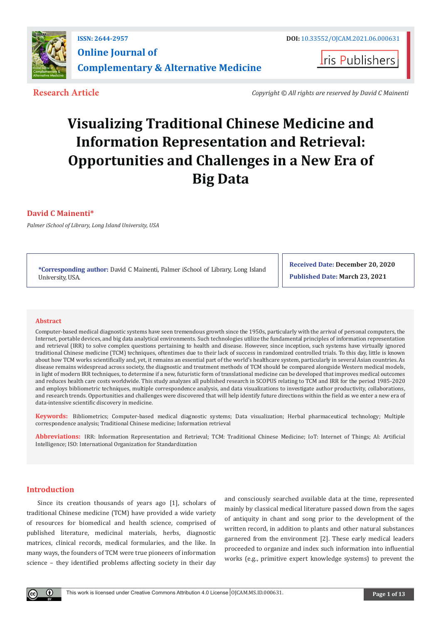

**Iris Publishers** 

**Research Article** *Copyright © All rights are reserved by David C Mainenti*

# **Visualizing Traditional Chinese Medicine and Information Representation and Retrieval: Opportunities and Challenges in a New Era of Big Data**

# **David C Mainenti\***

*Palmer iSchool of Library, Long Island University, USA* 

**\*Corresponding author:** David C Mainenti, Palmer iSchool of Library, Long Island University, USA.

**Received Date: December 20, 2020 Published Date: March 23, 2021**

#### **Abstract**

Computer-based medical diagnostic systems have seen tremendous growth since the 1950s, particularly with the arrival of personal computers, the Internet, portable devices, and big data analytical environments. Such technologies utilize the fundamental principles of information representation and retrieval (IRR) to solve complex questions pertaining to health and disease. However, since inception, such systems have virtually ignored traditional Chinese medicine (TCM) techniques, oftentimes due to their lack of success in randomized controlled trials. To this day, little is known about how TCM works scientifically and, yet, it remains an essential part of the world's healthcare system, particularly in several Asian countries. As disease remains widespread across society, the diagnostic and treatment methods of TCM should be compared alongside Western medical models, in light of modern IRR techniques, to determine if a new, futuristic form of translational medicine can be developed that improves medical outcomes and reduces health care costs worldwide. This study analyzes all published research in SCOPUS relating to TCM and IRR for the period 1985-2020 and employs bibliometric techniques, multiple correspondence analysis, and data visualizations to investigate author productivity, collaborations, and research trends. Opportunities and challenges were discovered that will help identify future directions within the field as we enter a new era of data-intensive scientific discovery in medicine.

**Keywords:** Bibliometrics; Computer-based medical diagnostic systems; Data visualization; Herbal pharmaceutical technology; Multiple correspondence analysis; Traditional Chinese medicine; Information retrieval

**Abbreviations:** IRR: Information Representation and Retrieval; TCM: Traditional Chinese Medicine; IoT: Internet of Things; AI: Artificial Intelligence; ISO: International Organization for Standardization

# **Introduction**

Since its creation thousands of years ago [1], scholars of traditional Chinese medicine (TCM) have provided a wide variety of resources for biomedical and health science, comprised of published literature, medicinal materials, herbs, diagnostic matrices, clinical records, medical formularies, and the like. In many ways, the founders of TCM were true pioneers of information science – they identified problems affecting society in their day

and consciously searched available data at the time, represented mainly by classical medical literature passed down from the sages of antiquity in chant and song prior to the development of the written record, in addition to plants and other natural substances garnered from the environment [2]. These early medical leaders proceeded to organize and index such information into influential works (e.g., primitive expert knowledge systems) to prevent the

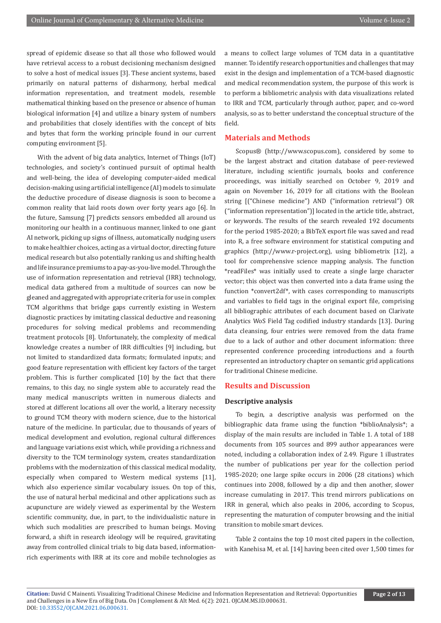spread of epidemic disease so that all those who followed would have retrieval access to a robust decisioning mechanism designed to solve a host of medical issues [3]. These ancient systems, based primarily on natural patterns of disharmony, herbal medical information representation, and treatment models, resemble mathematical thinking based on the presence or absence of human biological information [4] and utilize a binary system of numbers and probabilities that closely identifies with the concept of bits and bytes that form the working principle found in our current computing environment [5].

With the advent of big data analytics, Internet of Things (IoT) technologies, and society's continued pursuit of optimal health and well-being, the idea of developing computer-aided medical decision-making using artificial intelligence (AI) models to simulate the deductive procedure of disease diagnosis is soon to become a common reality that laid roots down over forty years ago [6]. In the future, Samsung [7] predicts sensors embedded all around us monitoring our health in a continuous manner, linked to one giant AI network, picking up signs of illness, automatically nudging users to make healthier choices, acting as a virtual doctor, directing future medical research but also potentially ranking us and shifting health and life insurance premiums to a pay-as-you-live model. Through the use of information representation and retrieval (IRR) technology, medical data gathered from a multitude of sources can now be gleaned and aggregated with appropriate criteria for use in complex TCM algorithms that bridge gaps currently existing in Western diagnostic practices by imitating classical deductive and reasoning procedures for solving medical problems and recommending treatment protocols [8]. Unfortunately, the complexity of medical knowledge creates a number of IRR difficulties [9] including, but not limited to standardized data formats; formulated inputs; and good feature representation with efficient key factors of the target problem. This is further complicated [10] by the fact that there remains, to this day, no single system able to accurately read the many medical manuscripts written in numerous dialects and stored at different locations all over the world, a literary necessity to ground TCM theory with modern science, due to the historical nature of the medicine. In particular, due to thousands of years of medical development and evolution, regional cultural differences and language variations exist which, while providing a richness and diversity to the TCM terminology system, creates standardization problems with the modernization of this classical medical modality, especially when compared to Western medical systems [11], which also experience similar vocabulary issues. On top of this, the use of natural herbal medicinal and other applications such as acupuncture are widely viewed as experimental by the Western scientific community, due, in part, to the individualistic nature in which such modalities are prescribed to human beings. Moving forward, a shift in research ideology will be required, gravitating away from controlled clinical trials to big data based, informationrich experiments with IRR at its core and mobile technologies as

a means to collect large volumes of TCM data in a quantitative manner. To identify research opportunities and challenges that may exist in the design and implementation of a TCM-based diagnostic and medical recommendation system, the purpose of this work is to perform a bibliometric analysis with data visualizations related to IRR and TCM, particularly through author, paper, and co-word analysis, so as to better understand the conceptual structure of the field.

## **Materials and Methods**

Scopus® (http://www.scopus.com), considered by some to be the largest abstract and citation database of peer-reviewed literature, including scientific journals, books and conference proceedings, was initially searched on October 9, 2019 and again on November 16, 2019 for all citations with the Boolean string [("Chinese medicine") AND ("information retrieval") OR ("information representation")] located in the article title, abstract, or keywords. The results of the search revealed 192 documents for the period 1985-2020; a BibTeX export file was saved and read into R, a free software environment for statistical computing and graphics (http://www.r-project.org), using bibliometrix [12], a tool for comprehensive science mapping analysis. The function \*readFiles\* was initially used to create a single large character vector; this object was then converted into a data frame using the function \*convert2df\*, with cases corresponding to manuscripts and variables to field tags in the original export file, comprising all bibliographic attributes of each document based on Clarivate Analytics WoS Field Tag codified industry standards [13]. During data cleansing, four entries were removed from the data frame due to a lack of author and other document information: three represented conference proceeding introductions and a fourth represented an introductory chapter on semantic grid applications for traditional Chinese medicine.

### **Results and Discussion**

#### **Descriptive analysis**

To begin, a descriptive analysis was performed on the bibliographic data frame using the function \*biblioAnalysis\*; a display of the main results are included in Table 1. A total of 188 documents from 105 sources and 899 author appearances were noted, including a collaboration index of 2.49. Figure 1 illustrates the number of publications per year for the collection period 1985-2020; one large spike occurs in 2006 (28 citations) which continues into 2008, followed by a dip and then another, slower increase cumulating in 2017. This trend mirrors publications on IRR in general, which also peaks in 2006, according to Scopus, representing the maturation of computer browsing and the initial transition to mobile smart devices.

Table 2 contains the top 10 most cited papers in the collection, with Kanehisa M, et al. [14] having been cited over 1,500 times for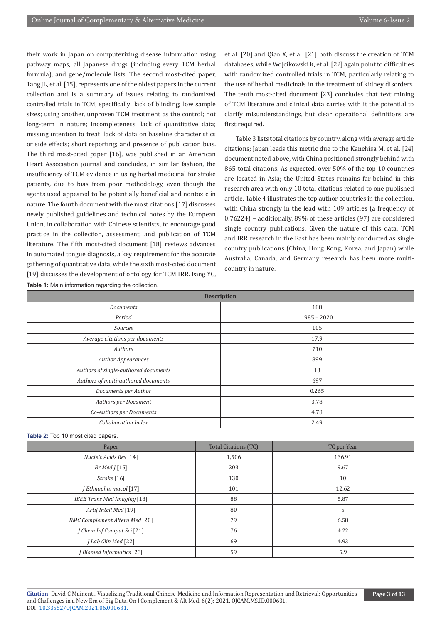their work in Japan on computerizing disease information using pathway maps, all Japanese drugs (including every TCM herbal formula), and gene/molecule lists. The second most-cited paper, Tang JL, et al. [15], represents one of the oldest papers in the current collection and is a summary of issues relating to randomized controlled trials in TCM, specifically: lack of blinding; low sample sizes; using another, unproven TCM treatment as the control; not long-term in nature; incompleteness; lack of quantitative data; missing intention to treat; lack of data on baseline characteristics or side effects; short reporting; and presence of publication bias. The third most-cited paper [16], was published in an American Heart Association journal and concludes, in similar fashion, the insufficiency of TCM evidence in using herbal medicinal for stroke patients, due to bias from poor methodology, even though the agents used appeared to be potentially beneficial and nontoxic in nature. The fourth document with the most citations [17] discusses newly published guidelines and technical notes by the European Union, in collaboration with Chinese scientists, to encourage good practice in the collection, assessment, and publication of TCM literature. The fifth most-cited document [18] reviews advances in automated tongue diagnosis, a key requirement for the accurate gathering of quantitative data, while the sixth most-cited document [19] discusses the development of ontology for TCM IRR. Fang YC, **Table 1:** Main information regarding the collection.

et al. [20] and Qiao X, et al. [21] both discuss the creation of TCM databases, while Wojcikowski K, et al. [22] again point to difficulties with randomized controlled trials in TCM, particularly relating to the use of herbal medicinals in the treatment of kidney disorders. The tenth most-cited document [23] concludes that text mining of TCM literature and clinical data carries with it the potential to clarify misunderstandings, but clear operational definitions are first required.

Table 3 lists total citations by country, along with average article citations; Japan leads this metric due to the Kanehisa M, et al. [24] document noted above, with China positioned strongly behind with 865 total citations. As expected, over 50% of the top 10 countries are located in Asia; the United States remains far behind in this research area with only 10 total citations related to one published article. Table 4 illustrates the top author countries in the collection, with China strongly in the lead with 109 articles (a frequency of 0.76224) – additionally, 89% of these articles (97) are considered single country publications. Given the nature of this data, TCM and IRR research in the East has been mainly conducted as single country publications (China, Hong Kong, Korea, and Japan) while Australia, Canada, and Germany research has been more multicountry in nature.

| <b>Description</b>                   |               |  |  |
|--------------------------------------|---------------|--|--|
| <b>Documents</b>                     | 188           |  |  |
| Period                               | $1985 - 2020$ |  |  |
| <b>Sources</b>                       | 105           |  |  |
| Average citations per documents      | 17.9          |  |  |
| Authors                              | 710           |  |  |
| <b>Author Appearances</b>            | 899           |  |  |
| Authors of single-authored documents | 13            |  |  |
| Authors of multi-authored documents  | 697           |  |  |
| Documents per Author                 | 0.265         |  |  |
| Authors per Document                 | 3.78          |  |  |
| Co-Authors per Documents             | 4.78          |  |  |
| Collaboration Index                  | 2.49          |  |  |

**Table 2:** Top 10 most cited papers.

| Paper                                 | Total Citations (TC) | TC per Year |
|---------------------------------------|----------------------|-------------|
| Nucleic Acids Res [14]                | 1,506                | 136.91      |
| Br Med $\int$ [15]                    | 203                  | 9.67        |
| Stroke [16]                           | 130                  | 10          |
| J Ethnopharmacol [17]                 | 101                  | 12.62       |
| <b>IEEE Trans Med Imaging [18]</b>    | 88                   | 5.87        |
| Artif Intell Med [19]                 | 80                   | 5           |
| <b>BMC Complement Altern Med [20]</b> | 79                   | 6.58        |
| J Chem Inf Comput Sci [21]            | 76                   | 4.22        |
| J Lab Clin Med [22]                   | 69                   | 4.93        |
| <b>J</b> Biomed Informatics [23]      | 59                   | 5.9         |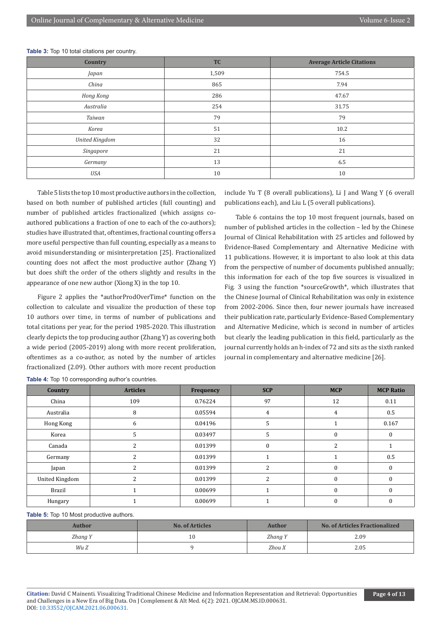| Country               | <b>TC</b> | <b>Average Article Citations</b> |
|-----------------------|-----------|----------------------------------|
| Japan                 | 1,509     | 754.5                            |
| China                 | 865       | 7.94                             |
| Hong Kong             | 286       | 47.67                            |
| Australia             | 254       | 31.75                            |
| Taiwan                | 79        | 79                               |
| Korea                 | 51        | 10.2                             |
| <b>United Kingdom</b> | 32        | 16                               |
| Singapore             | 21        | 21                               |
| Germany               | 13        | 6.5                              |
| <b>USA</b>            | 10        | 10                               |

**Table 3:** Top 10 total citations per country.

Table 5 lists the top 10 most productive authors in the collection, based on both number of published articles (full counting) and number of published articles fractionalized (which assigns coauthored publications a fraction of one to each of the co-authors); studies have illustrated that, oftentimes, fractional counting offers a more useful perspective than full counting, especially as a means to avoid misunderstanding or misinterpretation [25]. Fractionalized counting does not affect the most productive author (Zhang Y) but does shift the order of the others slightly and results in the appearance of one new author (Xiong X) in the top 10.

Figure 2 applies the \*authorProdOverTime\* function on the collection to calculate and visualize the production of these top 10 authors over time, in terms of number of publications and total citations per year, for the period 1985-2020. This illustration clearly depicts the top producing author (Zhang Y) as covering both a wide period (2005-2019) along with more recent proliferation, oftentimes as a co-author, as noted by the number of articles fractionalized (2.09). Other authors with more recent production include Yu T (8 overall publications), Li J and Wang Y (6 overall publications each), and Liu L (5 overall publications).

Table 6 contains the top 10 most frequent journals, based on number of published articles in the collection – led by the Chinese Journal of Clinical Rehabilitation with 25 articles and followed by Evidence-Based Complementary and Alternative Medicine with 11 publications. However, it is important to also look at this data from the perspective of number of documents published annually; this information for each of the top five sources is visualized in Fig. 3 using the function \*sourceGrowth\*, which illustrates that the Chinese Journal of Clinical Rehabilitation was only in existence from 2002-2006. Since then, four newer journals have increased their publication rate, particularly Evidence-Based Complementary and Alternative Medicine, which is second in number of articles but clearly the leading publication in this field, particularly as the journal currently holds an h-index of 72 and sits as the sixth ranked journal in complementary and alternative medicine [26].

| Country               | <b>Articles</b> | Frequency | <b>SCP</b>     | <b>MCP</b>               | <b>MCP Ratio</b> |
|-----------------------|-----------------|-----------|----------------|--------------------------|------------------|
| China                 | 109             | 0.76224   | 97             | 12                       | 0.11             |
| Australia             | 8               | 0.05594   | 4              | 4                        | 0.5              |
| Hong Kong             | 6               | 0.04196   | 5              |                          | 0.167            |
| Korea                 | 5               | 0.03497   | 5              | 0                        | 0                |
| Canada                | 2               | 0.01399   | $\bf{0}$       | $\overline{\mathcal{L}}$ |                  |
| Germany               | 2               | 0.01399   |                |                          | 0.5              |
| Japan                 |                 | 0.01399   | 2              | $\theta$                 |                  |
| <b>United Kingdom</b> | 2               | 0.01399   | $\overline{2}$ | $\theta$                 |                  |
| <b>Brazil</b>         |                 | 0.00699   |                | $\theta$                 | $\Omega$         |
| Hungary               |                 | 0.00699   |                | 0                        |                  |

**Table 4:** Top 10 corresponding author's countries.

Table 5: Top 10 Most productive authors.

| Author  | <b>No. of Articles</b> | Author  | <b>No. of Articles Fractionalized</b> |
|---------|------------------------|---------|---------------------------------------|
| Zhang Y | 10                     | Zhang Y | 2.09                                  |
| Wu Z    |                        | Zhou X  | 2.05                                  |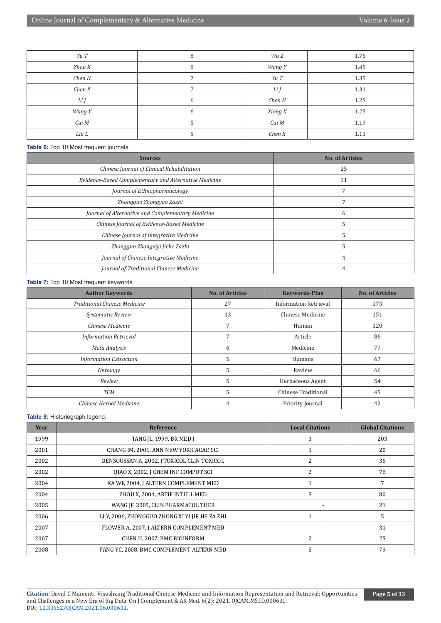| Yu T   | 8 | Wu Z    | 1.75 |
|--------|---|---------|------|
| Zhou X | 8 | Wang Y  | 1.45 |
| Chen H |   | Yu T    | 1.35 |
| Chen X |   | Li J    | 1.31 |
| Li J   | h | Chen H  | 1.25 |
| Wang Y | 6 | Xiong X | 1.25 |
| Cui M  |   | Cui M   | 1.19 |
| Liu L  |   | Chen X  | 1.11 |

#### **Table 6:** Top 10 Most frequent journals.

| <b>Sources</b>                                        | <b>No. of Articles</b> |
|-------------------------------------------------------|------------------------|
| Chinese Journal of Clinical Rehabilitation            | 25                     |
| Evidence-Based Complementary and Alternative Medicine | 11                     |
| Journal of Ethnopharmacology                          |                        |
| Zhongguo Zhongyao Zazhi                               |                        |
| Journal of Alternative and Complementary Medicine     | h                      |
| Chinese Journal of Evidence-Based Medicine            |                        |
| Chinese Journal of Integrative Medicine               |                        |
| Zhongguo Zhongxiyi Jiehe Zazhi                        |                        |
| Journal of Chinese Integrative Medicine               |                        |
| Journal of Traditional Chinese Medicine               |                        |

#### **Table 7:** Top 10 Most frequent keywords.

| <b>Author Keywords</b>              | <b>No. of Articles</b> | <b>Keywords-Plus</b>         | <b>No. of Articles</b> |
|-------------------------------------|------------------------|------------------------------|------------------------|
| <b>Traditional Chinese Medicine</b> | 27                     | <b>Information Retrieval</b> | 173                    |
| Systematic Review                   | 13                     | Chinese Medicine             | 151                    |
| Chinese Medicine                    |                        | Human                        | 120                    |
| <b>Information Retrieval</b>        |                        | Article                      | 86                     |
| Meta Analysis                       | 6                      | Medicine                     | 77                     |
| <b>Information Extraction</b>       | 5                      | Humans                       | 67                     |
| Ontology                            | 5                      | Review                       | 66                     |
| Review                              | 5                      | Herbaceous Agent             | 54                     |
| <b>TCM</b>                          | 5                      | Chinese Traditional          | 45                     |
| Chinese Herbal Medicine             |                        | Priority Journal             | 42                     |

#### **Table 8:** Historiograph legend.

| Year | Reference                                      | <b>Local Citations</b>   | <b>Global Citations</b> |
|------|------------------------------------------------|--------------------------|-------------------------|
| 1999 | TANG JL, 1999, BR MED J                        | 3                        | 203                     |
| 2001 | CHANG IM, 2001, ANN NEW YORK ACAD SCI          |                          | 20                      |
| 2002 | BENSOUSSAN A, 2002, J TOXICOL CLIN TOXICOL     |                          | 36                      |
| 2002 | OIAO X, 2002, J CHEM INF COMPUT SCI            | 2                        | 76                      |
| 2004 | KA WF, 2004, J ALTERN COMPLEMENT MED           |                          | 7                       |
| 2004 | ZHOU X, 2004, ARTIF INTELL MED                 | 5                        | 80                      |
| 2005 | WANG JF, 2005, CLIN PHARMACOL THER             |                          | 21                      |
| 2006 | LI Y, 2006, ZHONGGUO ZHONG XI YI JIE HE ZA ZHI |                          | 5                       |
| 2007 | FLOWER A, 2007, J ALTERN COMPLEMENT MED        |                          | 31                      |
| 2007 | CHEN H, 2007, BMC BIOINFORM                    | $\overline{\mathcal{L}}$ | 25                      |
| 2008 | FANG YC. 2008. BMC COMPLEMENT ALTERN MED       | 5                        | 79                      |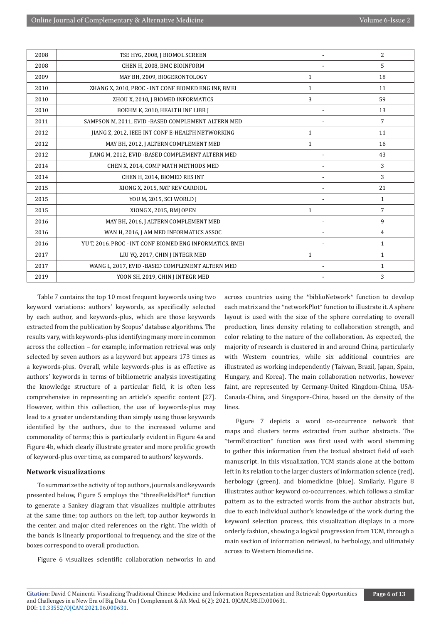| 2008 | TSE HYG, 2008, J BIOMOL SCREEN                           |              | $\overline{2}$ |
|------|----------------------------------------------------------|--------------|----------------|
| 2008 | CHEN H, 2008, BMC BIOINFORM                              |              | 5              |
| 2009 | MAY BH, 2009, BIOGERONTOLOGY                             | $\mathbf{1}$ | 18             |
| 2010 | ZHANG X, 2010, PROC - INT CONF BIOMED ENG INF, BMEI      | $\mathbf{1}$ | 11             |
| 2010 | ZHOU X, 2010, J BIOMED INFORMATICS                       | 3            | 59             |
| 2010 | BOEHM K, 2010, HEALTH INF LIBR J                         |              | 13             |
| 2011 | SAMPSON M, 2011, EVID -BASED COMPLEMENT ALTERN MED       |              | 7              |
| 2012 | JIANG Z, 2012, IEEE INT CONF E-HEALTH NETWORKING         | $\mathbf{1}$ | 11             |
| 2012 | MAY BH, 2012, J ALTERN COMPLEMENT MED                    | 1            | 16             |
| 2012 | JIANG M, 2012, EVID - BASED COMPLEMENT ALTERN MED        |              | 43             |
| 2014 | CHEN X, 2014, COMP MATH METHODS MED                      |              | 3              |
| 2014 | CHEN H, 2014, BIOMED RES INT                             |              | 3              |
| 2015 | XIONG X, 2015, NAT REV CARDIOL                           |              | 21             |
| 2015 | YOU M, 2015, SCI WORLD I                                 |              | $\mathbf{1}$   |
| 2015 | XIONG X, 2015, BMJ OPEN                                  | $\mathbf{1}$ | $\overline{7}$ |
| 2016 | MAY BH, 2016, J ALTERN COMPLEMENT MED                    |              | 9              |
| 2016 | WAN H, 2016, J AM MED INFORMATICS ASSOC                  |              | $\overline{4}$ |
| 2016 | YU T, 2016, PROC - INT CONF BIOMED ENG INFORMATICS, BMEI |              | $\mathbf{1}$   |
| 2017 | LIU YQ, 2017, CHIN J INTEGR MED                          | $\mathbf{1}$ | $\mathbf{1}$   |
| 2017 | WANG L, 2017, EVID -BASED COMPLEMENT ALTERN MED          |              | $\mathbf{1}$   |
| 2019 | YOON SH, 2019, CHIN J INTEGR MED                         |              | 3              |

Table 7 contains the top 10 most frequent keywords using two keyword variations: authors' keywords, as specifically selected by each author, and keywords-plus, which are those keywords extracted from the publication by Scopus' database algorithms. The results vary, with keywords-plus identifying many more in common across the collection – for example, information retrieval was only selected by seven authors as a keyword but appears 173 times as a keywords-plus. Overall, while keywords-plus is as effective as authors' keywords in terms of bibliometric analysis investigating the knowledge structure of a particular field, it is often less comprehensive in representing an article's specific content [27]. However, within this collection, the use of keywords-plus may lead to a greater understanding than simply using those keywords identified by the authors, due to the increased volume and commonality of terms; this is particularly evident in Figure 4a and Figure 4b, which clearly illustrate greater and more prolific growth of keyword-plus over time, as compared to authors' keywords.

#### **Network visualizations**

To summarize the activity of top authors, journals and keywords presented below, Figure 5 employs the \*threeFieldsPlot\* function to generate a Sankey diagram that visualizes multiple attributes at the same time; top authors on the left, top author keywords in the center, and major cited references on the right. The width of the bands is linearly proportional to frequency, and the size of the boxes correspond to overall production.

Figure 6 visualizes scientific collaboration networks in and

across countries using the \*biblioNetwork\* function to develop each matrix and the \*networkPlot\* function to illustrate it. A sphere layout is used with the size of the sphere correlating to overall production, lines density relating to collaboration strength, and color relating to the nature of the collaboration. As expected, the majority of research is clustered in and around China, particularly with Western countries, while six additional countries are illustrated as working independently (Taiwan, Brazil, Japan, Spain, Hungary, and Korea). The main collaboration networks, however faint, are represented by Germany-United Kingdom-China, USA-Canada-China, and Singapore-China, based on the density of the lines.

Figure 7 depicts a word co-occurrence network that maps and clusters terms extracted from author abstracts. The \*termExtraction\* function was first used with word stemming to gather this information from the textual abstract field of each manuscript. In this visualization, TCM stands alone at the bottom left in its relation to the larger clusters of information science (red), herbology (green), and biomedicine (blue). Similarly, Figure 8 illustrates author keyword co-occurrences, which follows a similar pattern as to the extracted words from the author abstracts but, due to each individual author's knowledge of the work during the keyword selection process, this visualization displays in a more orderly fashion, showing a logical progression from TCM, through a main section of information retrieval, to herbology, and ultimately across to Western biomedicine.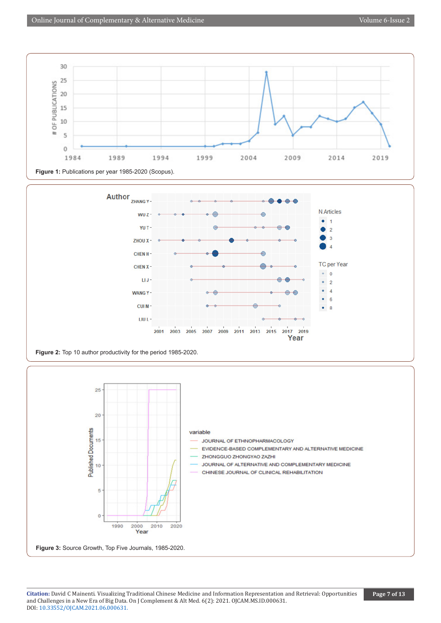





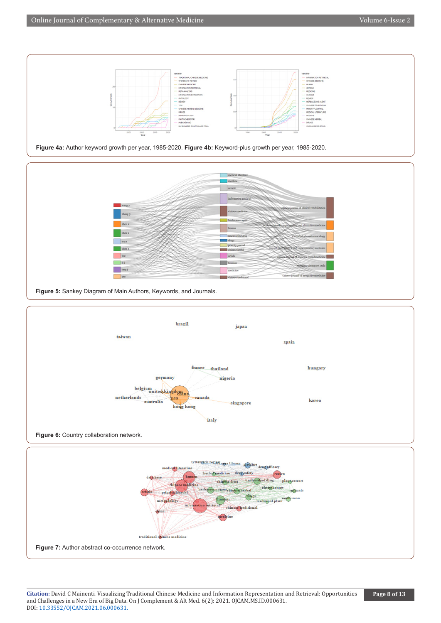



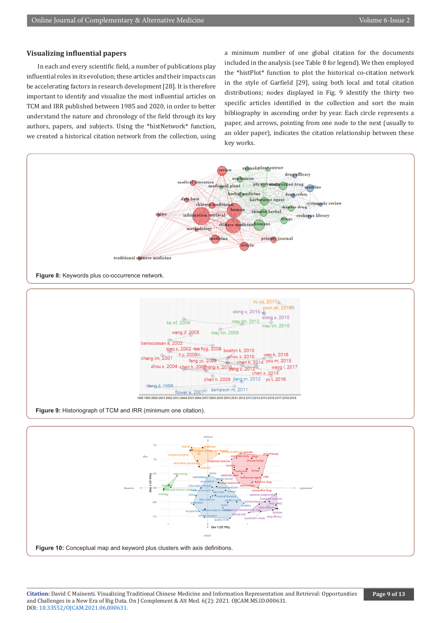# **Visualizing influential papers**

In each and every scientific field, a number of publications play influential roles in its evolution; these articles and their impacts can be accelerating factors in research development [28]. It is therefore important to identify and visualize the most influential articles on TCM and IRR published between 1985 and 2020, in order to better understand the nature and chronology of the field through its key authors, papers, and subjects. Using the \*histNetwork\* function, we created a historical citation network from the collection, using

a minimum number of one global citation for the documents included in the analysis (see Table 8 for legend). We then employed the \*histPlot\* function to plot the historical co-citation network in the style of Garfield [29], using both local and total citation distributions; nodes displayed in Fig. 9 identify the thirty two specific articles identified in the collection and sort the main bibliography in ascending order by year. Each circle represents a paper, and arrows, pointing from one node to the next (usually to an older paper), indicates the citation relationship between these key works.





**Figure 9:** Historiograph of TCM and IRR (minimum one citation).

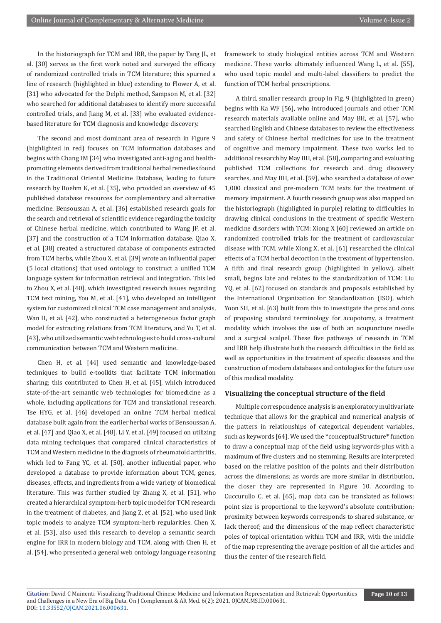In the historiograph for TCM and IRR, the paper by Tang JL, et al. [30] serves as the first work noted and surveyed the efficacy of randomized controlled trials in TCM literature; this spurned a line of research (highlighted in blue) extending to Flower A, et al. [31] who advocated for the Delphi method, Sampson M, et al. [32] who searched for additional databases to identify more successful controlled trials, and Jiang M, et al. [33] who evaluated evidencebased literature for TCM diagnosis and knowledge discovery.

The second and most dominant area of research in Figure 9 (highlighted in red) focuses on TCM information databases and begins with Chang IM [34] who investigated anti-aging and healthpromoting elements derived from traditional herbal remedies found in the Traditional Oriental Medicine Database, leading to future research by Boehm K, et al. [35], who provided an overview of 45 published database resources for complementary and alternative medicine. Bensoussan A, et al. [36] established research goals for the search and retrieval of scientific evidence regarding the toxicity of Chinese herbal medicine, which contributed to Wang JF, et al. [37] and the construction of a TCM information database. Qiao X, et al. [38] created a structured database of components extracted from TCM herbs, while Zhou X, et al. [39] wrote an influential paper (5 local citations) that used ontology to construct a unified TCM language system for information retrieval and integration. This led to Zhou X, et al. [40], which investigated research issues regarding TCM text mining, You M, et al. [41], who developed an intelligent system for customized clinical TCM case management and analysis, Wan H, et al. [42], who constructed a heterogeneous factor graph model for extracting relations from TCM literature, and Yu T, et al. [43], who utilized semantic web technologies to build cross-cultural communication between TCM and Western medicine.

Chen H, et al. [44] used semantic and knowledge-based techniques to build e-toolkits that facilitate TCM information sharing; this contributed to Chen H, et al. [45], which introduced state-of-the-art semantic web technologies for biomedicine as a whole, including applications for TCM and translational research. Tse HYG, et al. [46] developed an online TCM herbal medical database built again from the earlier herbal works of Bensoussan A, et al. [47] and Qiao X, et al. [48]. Li Y, et al. [49] focused on utilizing data mining techniques that compared clinical characteristics of TCM and Western medicine in the diagnosis of rheumatoid arthritis, which led to Fang YC, et al. [50], another influential paper, who developed a database to provide information about TCM, genes, diseases, effects, and ingredients from a wide variety of biomedical literature. This was further studied by Zhang X, et al. [51], who created a hierarchical symptom-herb topic model for TCM research in the treatment of diabetes, and Jiang Z, et al. [52], who used link topic models to analyze TCM symptom-herb regularities. Chen X, et al. [53], also used this research to develop a semantic search engine for IRR in modern biology and TCM, along with Chen H, et al. [54], who presented a general web ontology language reasoning

framework to study biological entities across TCM and Western medicine. These works ultimately influenced Wang L, et al. [55], who used topic model and multi-label classifiers to predict the function of TCM herbal prescriptions.

A third, smaller research group in Fig. 9 (highlighted in green) begins with Ka WF [56], who introduced journals and other TCM research materials available online and May BH, et al. [57], who searched English and Chinese databases to review the effectiveness and safety of Chinese herbal medicines for use in the treatment of cognitive and memory impairment. These two works led to additional research by May BH, et al. [58], comparing and evaluating published TCM collections for research and drug discovery searches, and May BH, et al. [59], who searched a database of over 1,000 classical and pre-modern TCM texts for the treatment of memory impairment. A fourth research group was also mapped on the historiograph (highlighted in purple) relating to difficulties in drawing clinical conclusions in the treatment of specific Western medicine disorders with TCM: Xiong X [60] reviewed an article on randomized controlled trials for the treatment of cardiovascular disease with TCM, while Xiong X, et al. [61] researched the clinical effects of a TCM herbal decoction in the treatment of hypertension. A fifth and final research group (highlighted in yellow), albeit small, begins late and relates to the standardization of TCM: Liu YQ, et al. [62] focused on standards and proposals established by the International Organization for Standardization (ISO), which Yoon SH, et al. [63] built from this to investigate the pros and cons of proposing standard terminology for acupotomy, a treatment modality which involves the use of both an acupuncture needle and a surgical scalpel. These five pathways of research in TCM and IRR help illustrate both the research difficulties in the field as well as opportunities in the treatment of specific diseases and the construction of modern databases and ontologies for the future use of this medical modality.

#### **Visualizing the conceptual structure of the field**

Multiple correspondence analysis is an exploratory multivariate technique that allows for the graphical and numerical analysis of the patters in relationships of categorical dependent variables, such as keywords [64]. We used the \*conceptualStructure\* function to draw a conceptual map of the field using keywords-plus with a maximum of five clusters and no stemming. Results are interpreted based on the relative position of the points and their distribution across the dimensions; as words are more similar in distribution, the closer they are represented in Figure 10. According to Cuccurullo C, et al. [65], map data can be translated as follows: point size is proportional to the keyword's absolute contribution; proximity between keywords corresponds to shared substance, or lack thereof; and the dimensions of the map reflect characteristic poles of topical orientation within TCM and IRR, with the middle of the map representing the average position of all the articles and thus the center of the research field.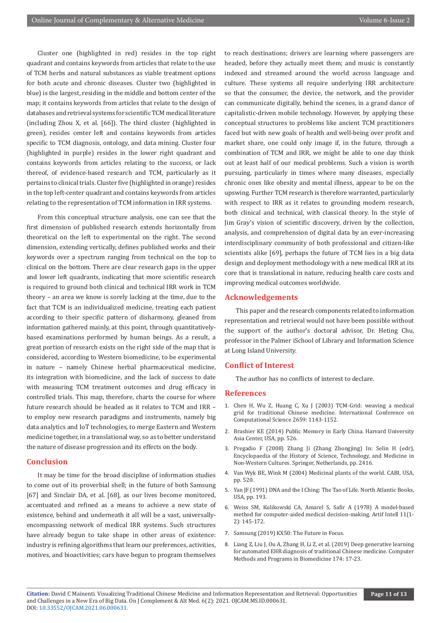Cluster one (highlighted in red) resides in the top right quadrant and contains keywords from articles that relate to the use of TCM herbs and natural substances as viable treatment options for both acute and chronic diseases. Cluster two (highlighted in blue) is the largest, residing in the middle and bottom center of the map; it contains keywords from articles that relate to the design of databases and retrieval systems for scientific TCM medical literature (including Zhou X, et al. [66]). The third cluster (highlighted in green), resides center left and contains keywords from articles specific to TCM diagnosis, ontology, and data mining. Cluster four (highlighted in purple) resides in the lower right quadrant and contains keywords from articles relating to the success, or lack thereof, of evidence-based research and TCM, particularly as it pertains to clinical trials. Cluster five (highlighted in orange) resides in the top left-center quadrant and contains keywords from articles relating to the representation of TCM information in IRR systems.

From this conceptual structure analysis, one can see that the first dimension of published research extends horizontally from theoretical on the left to experimental on the right. The second dimension, extending vertically, defines published works and their keywords over a spectrum ranging from technical on the top to clinical on the bottom. There are clear research gaps in the upper and lower left quadrants, indicating that more scientific research is required to ground both clinical and technical IRR work in TCM theory – an area we know is sorely lacking at the time, due to the fact that TCM is an individualized medicine, treating each patient according to their specific pattern of disharmony, gleaned from information gathered mainly, at this point, through quantitativelybased examinations performed by human beings. As a result, a great portion of research exists on the right side of the map that is considered, according to Western biomedicine, to be experimental in nature – namely Chinese herbal pharmaceutical medicine, its integration with biomedicine, and the lack of success to date with measuring TCM treatment outcomes and drug efficacy in controlled trials. This map, therefore, charts the course for where future research should be headed as it relates to TCM and IRR – to employ new research paradigms and instruments, namely big data analytics and IoT technologies, to merge Eastern and Western medicine together, in a translational way, so as to better understand the nature of disease progression and its effects on the body.

## **Conclusion**

It may be time for the broad discipline of information studies to come out of its proverbial shell; in the future of both Samsung [67] and Sinclair DA, et al. [68], as our lives become monitored, accentuated and refined as a means to achieve a new state of existence, behind and underneath it all will be a vast, universallyencompassing network of medical IRR systems. Such structures have already begun to take shape in other areas of existence: industry is refining algorithms that learn our preferences, activities, motives, and bioactivities; cars have begun to program themselves

to reach destinations; drivers are learning where passengers are headed, before they actually meet them; and music is constantly indexed and streamed around the world across language and culture. These systems all require underlying IRR architecture so that the consumer, the device, the network, and the provider can communicate digitally, behind the scenes, in a grand dance of capitalistic-driven mobile technology. However, by applying these conceptual structures to problems like ancient TCM practitioners faced but with new goals of health and well-being over profit and market share, one could only image if, in the future, through a combination of TCM and IRR, we might be able to one day think out at least half of our medical problems. Such a vision is worth pursuing, particularly in times where many diseases, especially chronic ones like obesity and mental illness, appear to be on the upswing. Further TCM research is therefore warranted, particularly with respect to IRR as it relates to grounding modern research, both clinical and technical, with classical theory. In the style of Jim Gray's vision of scientific discovery, driven by the collection, analysis, and comprehension of digital data by an ever-increasing interdisciplinary community of both professional and citizen-like scientists alike [69], perhaps the future of TCM lies in a big data design and deployment methodology with a new medical IRR at its core that is translational in nature, reducing health care costs and improving medical outcomes worldwide.

## **Acknowledgements**

This paper and the research components related to information representation and retrieval would not have been possible without the support of the author's doctoral advisor, Dr. Heting Chu, professor in the Palmer iSchool of Library and Information Science at Long Island University.

#### **Conflict of Interest**

The author has no conflicts of interest to declare.

#### **References**

- 1. Chen H, Wu Z, Huang C, Xu J (2003) TCM-Grid: weaving a medical grid for traditional Chinese medicine. International Conference on Computational Science 2659: 1143-1152.
- 2. Brashier KE (2014) Public Memory in Early China. Harvard University Asia Center, USA, pp. 526.
- 3. Pregadio F (2008) Zhang Ji (Zhang Zhongjing) In: Selin H (edr), Encyclopaedia of the History of Science, Technology, and Medicine in Non-Western Cultures. Springer, Netherlands, pp. 2416.
- 4. Van Wyk BE, Wink M (2004) Medicinal plants of the world. CABI, USA, pp. 520.
- 5. Yan JF (1991) DNA and the I Ching: The Tao of Life. North Atlantic Books, USA, pp. 193.
- 6. [Weiss SM, Kulikowski CA, Amarel S, Safir A \(1978\) A model-based](https://www.sciencedirect.com/science/article/abs/pii/0004370278900152) [method for computer-aided medical decision-making. Artif Intell 11\(1-](https://www.sciencedirect.com/science/article/abs/pii/0004370278900152) [2\): 145-172.](https://www.sciencedirect.com/science/article/abs/pii/0004370278900152)
- 7. [Samsung \(2019\) KX50: The Future in Focus.](https://news.samsung.com)
- 8. [Liang Z, Liu J, Ou A, Zhang H, Li Z, et al. \(2019\) Deep generative learning](https://www.sciencedirect.com/science/article/abs/pii/S0169260717303826) [for automated EHR diagnosis of traditional Chinese medicine. Computer](https://www.sciencedirect.com/science/article/abs/pii/S0169260717303826) [Methods and Programs in Biomedicine 174: 17-23.](https://www.sciencedirect.com/science/article/abs/pii/S0169260717303826)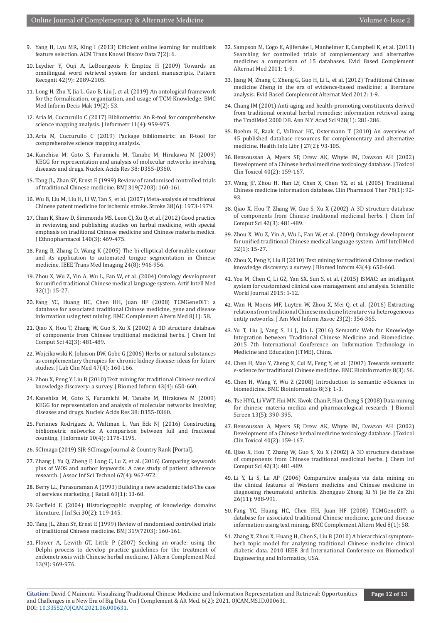- 9. Yang H, Lyu MR, King I (2013) Efficient online learning for multitask feature selection. ACM Trans Knowl Discov Data 7(2): 6.
- 10. [Leydier Y, Ouji A, LeBourgeois F, Emptoz H \(2009\) Towards an](https://www.sciencedirect.com/science/article/abs/pii/S0031320309000454)  [omnilingual word retrieval system for ancient manuscripts. Pattern](https://www.sciencedirect.com/science/article/abs/pii/S0031320309000454)  [Recognit 42\(9\): 2089-2105.](https://www.sciencedirect.com/science/article/abs/pii/S0031320309000454)
- 11. [Long H, Zhu Y, Jia L, Gao B, Liu J, et al. \(2019\) An ontological framework](https://pubmed.ncbi.nlm.nih.gov/30961578/)  [for the formalization, organization, and usage of TCM-Knowledge. BMC](https://pubmed.ncbi.nlm.nih.gov/30961578/)  [Med Inform Decis Mak 19\(2\): 53.](https://pubmed.ncbi.nlm.nih.gov/30961578/)
- 12. [Aria M, Cuccurullo C \(2017\) Bibliometrix: An R-tool for comprehensive](https://www.sciencedirect.com/science/article/abs/pii/S1751157717300500)  [science mapping analysis. J Informetr 11\(4\): 959-975.](https://www.sciencedirect.com/science/article/abs/pii/S1751157717300500)
- 13. [Aria M, Cuccurullo C \(2019\) Package bibliometrix: an R-tool for](http://www.bibliometrix.org)  [comprehensive science mapping analysis.](http://www.bibliometrix.org)
- 14. [Kanehisa M, Goto S, Furumichi M, Tanabe M, Hirakawa M \(2009\)](https://pubmed.ncbi.nlm.nih.gov/19880382/)  [KEGG for representation and analysis of molecular networks involving](https://pubmed.ncbi.nlm.nih.gov/19880382/)  [diseases and drugs. Nucleic Acids Res 38: D355-D360.](https://pubmed.ncbi.nlm.nih.gov/19880382/)
- 15. [Tang JL, Zhan SY, Ernst E \(1999\) Review of randomised controlled trials](https://pubmed.ncbi.nlm.nih.gov/10406751/)  [of traditional Chinese medicine. BMJ 319\(7203\): 160-161.](https://pubmed.ncbi.nlm.nih.gov/10406751/)
- 16. [Wu B, Liu M, Liu H, Li W, Tan S, et al. \(2007\) Meta-analysis of traditional](https://pubmed.ncbi.nlm.nih.gov/17463317/)  [Chinese patent medicine for ischemic stroke. Stroke 38\(6\): 1973-1979.](https://pubmed.ncbi.nlm.nih.gov/17463317/)
- 17. [Chan K, Shaw D, Simmonds MS, Leon CJ, Xu Q, et al. \(2012\) Good practice](https://pubmed.ncbi.nlm.nih.gov/22330011/)  [in reviewing and publishing studies on herbal medicine, with special](https://pubmed.ncbi.nlm.nih.gov/22330011/)  [emphasis on traditional Chinese medicine and Chinese materia medica.](https://pubmed.ncbi.nlm.nih.gov/22330011/)  [J Ethnopharmacol 140\(3\): 469-475.](https://pubmed.ncbi.nlm.nih.gov/22330011/)
- 18. Pang B, Zhang D, Wang K (2005) The bi-elliptical deformable contour and its application to automated tongue segmentation in Chinese medicine. IEEE Trans Med Imaging 24(8): 946-956.
- 19. [Zhou X, Wu Z, Yin A, Wu L, Fan W, et al. \(2004\) Ontology development](https://pubmed.ncbi.nlm.nih.gov/15350621/)  [for unified traditional Chinese medical language system. Artif Intell Med](https://pubmed.ncbi.nlm.nih.gov/15350621/)  [32\(1\): 15-27.](https://pubmed.ncbi.nlm.nih.gov/15350621/)
- 20. [Fang YC, Huang HC, Chen HH, Juan HF \(2008\) TCMGeneDIT: a](https://pubmed.ncbi.nlm.nih.gov/18854039/)  [database for associated traditional Chinese medicine, gene and disease](https://pubmed.ncbi.nlm.nih.gov/18854039/)  [information using text mining. BMC Complement Altern Med 8\(1\): 58.](https://pubmed.ncbi.nlm.nih.gov/18854039/)
- 21. [Qiao X, Hou T, Zhang W, Guo S, Xu X \(2002\) A 3D structure database](https://pubmed.ncbi.nlm.nih.gov/12086505/)  [of components from Chinese traditional medicinal herbs. J Chem Inf](https://pubmed.ncbi.nlm.nih.gov/12086505/)  [Comput Sci 42\(3\): 481-489.](https://pubmed.ncbi.nlm.nih.gov/12086505/)
- 22. [Wojcikowski K, Johnson DW, Gobe G \(2006\) Herbs or natural substances](https://pubmed.ncbi.nlm.nih.gov/16581343/)  [as complementary therapies for chronic kidney disease: ideas for future](https://pubmed.ncbi.nlm.nih.gov/16581343/)  [studies. J Lab Clin Med 47\(4\): 160-166.](https://pubmed.ncbi.nlm.nih.gov/16581343/)
- 23. [Zhou X, Peng Y, Liu B \(2010\) Text mining for traditional Chinese medical](https://pubmed.ncbi.nlm.nih.gov/20074663/)  [knowledge discovery: a survey. J Biomed Inform 43\(4\): 650-660.](https://pubmed.ncbi.nlm.nih.gov/20074663/)
- 24. [Kanehisa M, Goto S, Furumichi M, Tanabe M, Hirakawa M \(2009\)](https://pubmed.ncbi.nlm.nih.gov/19880382/)  [KEGG for representation and analysis of molecular networks involving](https://pubmed.ncbi.nlm.nih.gov/19880382/)  [diseases and drugs. Nucleic Acids Res 38: D355-D360.](https://pubmed.ncbi.nlm.nih.gov/19880382/)
- 25. [Perianes Rodriguez A, Waltman L, Van Eck NJ \(2016\) Constructing](https://www.sciencedirect.com/science/article/abs/pii/S1751157716302036)  [bibliometric networks: A comparison between full and fractional](https://www.sciencedirect.com/science/article/abs/pii/S1751157716302036)  [counting. J Informetr 10\(4\): 1178-1195.](https://www.sciencedirect.com/science/article/abs/pii/S1751157716302036)
- 26. [SCImago \(2019\) SJR-SCImago Journal & Country Rank \[Portal\].](https://www.scimagojr.com/)
- 27. Zhang J, Yu Q, Zheng F, Long C, Lu Z, et al. (2016) Comparing keywords plus of WOS and author keywords: A case study of patient adherence research. J Assoc Inf Sci Technol 67(4): 967-972.
- 28. [Berry LL, Parasuraman A \(1993\) Building a new academic field-The case](https://www.sciencedirect.com/science/article/abs/pii/S002243590580003X)  [of services marketing. J Retail 69\(1\): 13-60.](https://www.sciencedirect.com/science/article/abs/pii/S002243590580003X)
- 29. Garfield E (2004) Historiographic mapping of knowledge domains literature. J Inf Sci 30(2): 119-145.
- 30. [Tang JL, Zhan SY, Ernst E \(1999\) Review of randomised controlled trials](https://pubmed.ncbi.nlm.nih.gov/10406751/)  [of traditional Chinese medicine. BMJ 319\(7203\): 160-161.](https://pubmed.ncbi.nlm.nih.gov/10406751/)
- 31. [Flower A, Lewith GT, Little P \(2007\) Seeking an oracle: using the](https://pubmed.ncbi.nlm.nih.gov/18047443/)  [Delphi process to develop practice guidelines for the treatment of](https://pubmed.ncbi.nlm.nih.gov/18047443/)  [endometriosis with Chinese herbal medicine. J Altern Complement Med](https://pubmed.ncbi.nlm.nih.gov/18047443/)  [13\(9\): 969-976.](https://pubmed.ncbi.nlm.nih.gov/18047443/)
- 32. Sampson M, Cogo E, Ajiferuke I, Manheimer E, Campbell K, et al. (2011) Searching for controlled trials of complementary and alternative medicine: a comparison of 15 databases. Evid Based Complement Alternat Med 2011: 1-9.
- 33. Jiang M, Zhang C, Zheng G, Guo H, Li L, et al. (2012) Traditional Chinese medicine Zheng in the era of evidence-based medicine: a literature analysis. Evid Based Complement Alternat Med 2012: 1-9.
- 34. [Chang IM \(2001\) Anti-aging and health-promoting constituents derived](https://pubmed.ncbi.nlm.nih.gov/11795519/) [from traditional oriental herbal remedies: information retrieval using](https://pubmed.ncbi.nlm.nih.gov/11795519/) [the TradiMed 2000 DB. Ann N Y Acad Sci 928\(1\): 281-286.](https://pubmed.ncbi.nlm.nih.gov/11795519/)
- 35. [Boehm K, Raak C, Vollmar HC, Ostermann T \(2010\) An overview of](https://pubmed.ncbi.nlm.nih.gov/20565550/) [45 published database resources for complementary and alternative](https://pubmed.ncbi.nlm.nih.gov/20565550/) [medicine. Health Info Libr J 27\(2\): 93-105.](https://pubmed.ncbi.nlm.nih.gov/20565550/)
- 36. [Bensoussan A, Myers SP, Drew AK, Whyte IM, Dawson AH \(2002\)](https://pubmed.ncbi.nlm.nih.gov/12126187/) [Development of a Chinese herbal medicine toxicology database. J Toxicol](https://pubmed.ncbi.nlm.nih.gov/12126187/) [Clin Toxicol 40\(2\): 159-167.](https://pubmed.ncbi.nlm.nih.gov/12126187/)
- 37. Wang JF, Zhou H, Han LY, Chen X, Chen YZ, et al. (2005) Traditional Chinese medicine information database. Clin Pharmacol Ther 78(1): 92- 93.
- 38. [Qiao X, Hou T, Zhang W, Guo S, Xu X \(2002\) A 3D structure database](https://pubmed.ncbi.nlm.nih.gov/12086505/) [of components from Chinese traditional medicinal herbs. J Chem Inf](https://pubmed.ncbi.nlm.nih.gov/12086505/) [Comput Sci 42\(3\): 481-489.](https://pubmed.ncbi.nlm.nih.gov/12086505/)
- 39. [Zhou X, Wu Z, Yin A, Wu L, Fan W, et al. \(2004\) Ontology development](https://pubmed.ncbi.nlm.nih.gov/15350621/) [for unified traditional Chinese medical language system. Artif Intell Med](https://pubmed.ncbi.nlm.nih.gov/15350621/) [32\(1\): 15-27.](https://pubmed.ncbi.nlm.nih.gov/15350621/)
- 40. [Zhou X, Peng Y, Liu B \(2010\) Text mining for traditional Chinese medical](https://pubmed.ncbi.nlm.nih.gov/20074663/) [knowledge discovery: a survey. J Biomed Inform 43\(4\): 650-660.](https://pubmed.ncbi.nlm.nih.gov/20074663/)
- 41. You M, Chen C, Li GZ, Yan SX, Sun S, et al. (2015) ISMAC: an intelligent system for customized clinical case management and analysis. Scientific World Journal 2015: 1-12.
- 42. Wan H, Moens MF, Luyten W, Zhou X, Mei Q, et al. (2016) Extracting relations from traditional Chinese medicine literature via heterogeneous entity networks. J Am Med Inform Assoc 23(2): 356-365.
- 43. Yu T, Liu J, Yang S, Li J, Jia L (2016) Semantic Web for Knowledge Integration between Traditional Chinese Medicine and Biomedicine. 2015 7th International Conference on Information Technology in Medicine and Education (ITME), China.
- 44. Chen H, Mao Y, Zheng X, Cui M, Feng Y, et al. (2007) Towards semantic e-science for traditional Chinese medicine. BMC Bioinformatics 8(3): S6.
- 45. Chen H, Wang Y, Wu Z (2008) Introduction to semantic e-Science in biomedicine. BMC Bioinformatics 8(3): 1-3.
- 46. [Tse HYG, Li VWT, Hui MN, Kwok Chan P, Han Cheng S \(2008\) Data mining](https://pubmed.ncbi.nlm.nih.gov/18443208/) [for chinese materia medica and pharmacological research. J Biomol](https://pubmed.ncbi.nlm.nih.gov/18443208/) [Screen 13\(5\): 390-395.](https://pubmed.ncbi.nlm.nih.gov/18443208/)
- 47. [Bensoussan A, Myers SP, Drew AK, Whyte IM, Dawson AH \(2002\)](https://pubmed.ncbi.nlm.nih.gov/12126187/) [Development of a Chinese herbal medicine toxicology database. J Toxicol](https://pubmed.ncbi.nlm.nih.gov/12126187/) [Clin Toxicol 40\(2\): 159-167.](https://pubmed.ncbi.nlm.nih.gov/12126187/)
- 48. [Qiao X, Hou T, Zhang W, Guo S, Xu X \(2002\) A 3D structure database](https://pubmed.ncbi.nlm.nih.gov/12086505/) [of components from Chinese traditional medicinal herbs. J Chem Inf](https://pubmed.ncbi.nlm.nih.gov/12086505/) [Comput Sci 42\(3\): 481-489.](https://pubmed.ncbi.nlm.nih.gov/12086505/)
- 49. [Li Y, Li S, Lu AP \(2006\) Comparative analysis via data mining on](https://pubmed.ncbi.nlm.nih.gov/17186727/) [the clinical features of Western medicine and Chinese medicine in](https://pubmed.ncbi.nlm.nih.gov/17186727/) [diagnosing rheumatoid arthritis. Zhongguo Zhong Xi Yi Jie He Za Zhi](https://pubmed.ncbi.nlm.nih.gov/17186727/) [26\(11\): 988-991.](https://pubmed.ncbi.nlm.nih.gov/17186727/)
- 50. [Fang YC, Huang HC, Chen HH, Juan HF \(2008\) TCMGeneDIT: a](https://pubmed.ncbi.nlm.nih.gov/18854039/) [database for associated traditional Chinese medicine, gene and disease](https://pubmed.ncbi.nlm.nih.gov/18854039/) [information using text mining. BMC Complement Altern Med 8\(1\): 58.](https://pubmed.ncbi.nlm.nih.gov/18854039/)
- 51. Zhang X, Zhou X, Huang H, Chen S, Liu B (2010) A hierarchical symptomherb topic model for analyzing traditional Chinese medicine clinical diabetic data. 2010 IEEE 3rd International Conference on Biomedical Engineering and Informatics, USA.